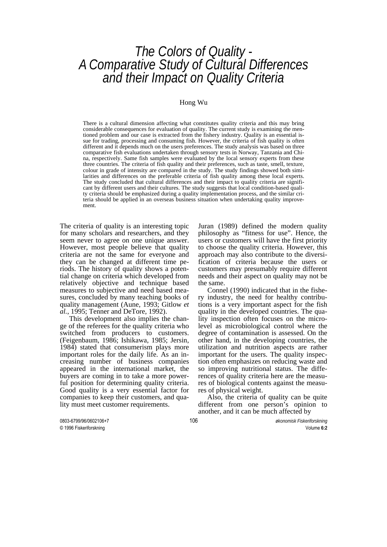# *The Colors of Quality - A Comparative Study of Cultural Differences and their Impact on Quality Criteria*

#### Hong Wu

There is a cultural dimension affecting what constitutes quality criteria and this may bring considerable consequences for evaluation of quality. The current study is examining the mentioned problem and our case is extracted from the fishery industry. Quality is an essential issue for trading, processing and consuming fish. However, the criteria of fish quality is often different and it depends much on the users preferences. The study analysis was based on three comparative fish evaluations undertaken through sensory tests in Norway, Tanzania and China, respectively. Same fish samples were evaluated by the local sensory experts from these three countries. The criteria of fish quality and their preferences, such as taste, smell, texture, colour in grade of intensity are compared in the study. The study findings showed both similarities and differences on the preferable criteria of fish quality among these local experts. The study concluded that cultural differences and their impact to quality criteria are significant by different users and their cultures. The study suggests that local condition-based quality criteria should be emphasized during a quality implementation process, and the similar criteria should be applied in an overseas business situation when undertaking quality improvement.

The criteria of quality is an interesting topic for many scholars and researchers, and they seem never to agree on one unique answer. However, most people believe that quality criteria are not the same for everyone and they can be changed at different time periods. The history of quality shows a potential change on criteria which developed from relatively objective and technique based measures to subjective and need based measures, concluded by many teaching books of quality management (Aune, 1993; Gitlow *et al.*, 1995; Tenner and DeTore, 1992).

 This development also implies the change of the referees for the quality criteria who switched from producers to customers. (Feigenbaum, 1986; Ishikawa, 1985; Jersin, 1984) stated that consumerism plays more important roles for the daily life. As an increasing number of business companies appeared in the international market, the buyers are coming in to take a more powerful position for determining quality criteria. Good quality is a very essential factor for companies to keep their customers, and quality must meet customer requirements.

Juran (1989) defined the modern quality philosophy as "fitness for use". Hence, the users or customers will have the first priority to choose the quality criteria. However, this approach may also contribute to the diversification of criteria because the users or customers may presumably require different needs and their aspect on quality may not be the same.

 Connel (1990) indicated that in the fishery industry, the need for healthy contributions is a very important aspect for the fish quality in the developed countries. The quality inspection often focuses on the microlevel as microbiological control where the degree of contamination is assessed. On the other hand, in the developing countries, the utilization and nutrition aspects are rather important for the users. The quality inspection often emphasizes on reducing waste and so improving nutritional status. The differences of quality criteria here are the measures of biological contents against the measures of physical weight.

 Also, the criteria of quality can be quite different from one person's opinion to another, and it can be much affected by

0803-6799/96/0602106+7 106 *økonomisk Fiskeriforskning* © 1996 Fiskeriforskning Volume **6:2**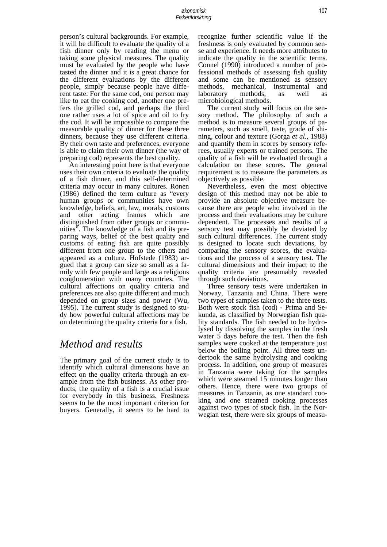person's cultural backgrounds. For example, it will be difficult to evaluate the quality of a fish dinner only by reading the menu or taking some physical measures. The quality must be evaluated by the people who have tasted the dinner and it is a great chance for the different evaluations by the different people, simply because people have different taste. For the same cod, one person may like to eat the cooking cod, another one prefers the grilled cod, and perhaps the third one rather uses a lot of spice and oil to fry the cod. It will be impossible to compare the measurable quality of dinner for these three dinners, because they use different criteria. By their own taste and preferences, everyone is able to claim their own dinner (the way of preparing cod) represents the best quality.

 An interesting point here is that everyone uses their own criteria to evaluate the quality of a fish dinner, and this self-determined criteria may occur in many cultures. Ronen (1986) defined the term culture as "every human groups or communities have own knowledge, beliefs, art, law, morals, customs and other acting frames which are distinguished from other groups or communities". The knowledge of a fish and its preparing ways, belief of the best quality and customs of eating fish are quite possibly different from one group to the others and appeared as a culture. Hofstede (1983) argued that a group can size so small as a family with few people and large as a religious conglomeration with many countries. The cultural affections on quality criteria and preferences are also quite different and much depended on group sizes and power (Wu, 1995). The current study is designed to study how powerful cultural affections may be on determining the quality criteria for a fish.

## *Method and results*

The primary goal of the current study is to identify which cultural dimensions have an effect on the quality criteria through an example from the fish business. As other products, the quality of a fish is a crucial issue for everybody in this business. Freshness seems to be the most important criterion for buyers. Generally, it seems to be hard to recognize further scientific value if the freshness is only evaluated by common sense and experience. It needs more attributes to indicate the quality in the scientific terms. Connel (1990) introduced a number of professional methods of assessing fish quality and some can be mentioned as sensory methods, mechanical, instrumental and laboratory methods, as well as microbiological methods.

 The current study will focus on the sensory method. The philosophy of such a method is to measure several groups of parameters, such as smell, taste, grade of shining, colour and texture (Gorga *et al.*, 1988) and quantify them in scores by sensory referees, usually experts or trained persons. The quality of a fish will be evaluated through a calculation on these scores. The general requirement is to measure the parameters as objectively as possible.

 Nevertheless, even the most objective design of this method may not be able to provide an absolute objective measure because there are people who involved in the process and their evaluations may be culture dependent. The processes and results of a sensory test may possibly be deviated by such cultural differences. The current study is designed to locate such deviations, by comparing the sensory scores, the evaluations and the process of a sensory test. The cultural dimensions and their impact to the quality criteria are presumably revealed through such deviations.

 Three sensory tests were undertaken in Norway, Tanzania and China. There were two types of samples taken to the three tests. Both were stock fish (cod) - Prima and Sekunda, as classified by Norwegian fish quality standards. The fish needed to be hydrolysed by dissolving the samples in the fresh water 5 days before the test. Then the fish samples were cooked at the temperature just below the boiling point. All three tests undertook the same hydrolysing and cooking process. In addition, one group of measures in Tanzania were taking for the samples which were steamed 15 minutes longer than others. Hence, there were two groups of measures in Tanzania, as one standard cooking and one steamed cooking processes against two types of stock fish. In the Norwegian test, there were six groups of measu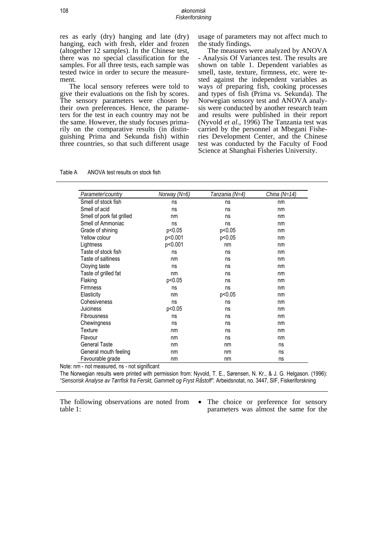res as early (dry) hanging and late (dry) hanging, each with fresh, elder and frozen (altogether 12 samples). In the Chinese test, there was no special classification for the samples. For all three tests, each sample was tested twice in order to secure the measurement.

The local sensory referees were told to give their evaluations on the fish by scores. The sensory parameters were chosen by their own preferences. Hence, the parameters for the test in each country may not be the same. However, the study focuses primarily on the comparative results (in distinguishing Prima and Sekunda fish) within three countries, so that such different usage

usage of parameters may not affect much to the study findings.

The measures were analyzed by ANOVA - Analysis Of Variances test. The results are shown on table 1. Dependent variables as smell, taste, texture, firmness, etc. were tested against the independent variables as ways of preparing fish, cooking processes and types of fish (Prima vs. Sekunda). The Norwegian sensory test and ANOVA analysis were conducted by another research team and results were published in their report (Nyvold *et al*., 1996) The Tanzania test was carried by the personnel at Mbegani Fisheries Development Center, and the Chinese test was conducted by the Faculty of Food Science at Shanghai Fisheries University.

| Parameterlcountry         | Norway $(N=6)$ | Tanzania (N=4) | China (N=14) |
|---------------------------|----------------|----------------|--------------|
| Smell of stock fish       | ns             | ns             | nm           |
| Smell of acid             | ns             | ns             | nm           |
| Smell of pork fat grilled | nm             | ns             | nm           |
| Smell of Ammoniac         | ns             | ns             | nm           |
| Grade of shining          | p<0.05         | p<0.05         | nm           |
| Yellow colour             | p<0.001        | p<0.05         | nm           |
| Lightness                 | p<0.001        | nm             | nm           |
| Taste of stock fish       | ns             | ns             | nm           |
| Taste of saltiness        | nm             | ns             | nm           |
| Cloying taste             | ns             | ns             | nm           |
| Taste of grilled fat      | nm             | ns             | nm           |
| Flaking                   | p<0.05         | ns             | nm           |
| <b>Firmness</b>           | ns             | ns             | nm           |
| Elasticity                | nm             | p<0.05         | nm           |
| Cohesiveness              | ns             | ns             | nm           |
| Juiciness                 | p<0.05         | ns             | nm           |
| <b>Fibrousness</b>        | ns             | ns             | nm           |
| Chewingness               | ns             | ns             | nm           |
| Texture                   | nm             | ns             | nm           |
| Flavour                   | nm             | ns             | nm           |
| <b>General Taste</b>      | nm             | nm             | ns           |
| General mouth feeling     | nm             | nm             | ns           |
| Favourable grade          | nm             | nm             | ns           |

| Table A | ANOVA test results on stock fish |
|---------|----------------------------------|
|         |                                  |

Note: nm - not measured, ns - not significant

The Norwegian results were printed with permission from: Nyvold, T. E., Sørensen, N. Kr., & J. G. Helgason. (1996): *"Sensorisk Analyse av Tørrfisk fra Ferskt, Gammelt og Fryst Råstoff".* Arbeidsnotat, no. 3447, SIF, Fiskeriforskning

The following observations are noted from table 1:

• The choice or preference for sensory parameters was almost the same for the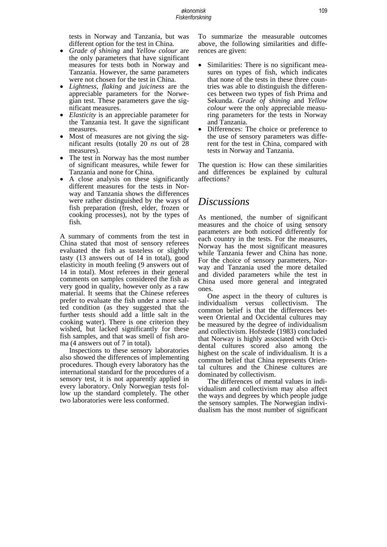tests in Norway and Tanzania, but was different option for the test in China.

- *Grade of shining* and *Yellow colour* are the only parameters that have significant measures for tests both in Norway and Tanzania. However, the same parameters were not chosen for the test in China.
- *Lightness*, *flaking* and *juiciness* are the appreciable parameters for the Norwegian test. These parameters gave the significant measures.
- *Elasticity* is an appreciable parameter for the Tanzania test. It gave the significant measures.<br>Most of measures are not giving the sig-
- nificant results (totally 20 *ns* out of 28
- measures).<br>The test in Norway has the most number of significant measures, while fewer for
- Tanzania and none for China.<br>• A close analysis on these significantly different measures for the tests in Norway and Tanzania shows the differences were rather distinguished by the ways of fish preparation (fresh, elder, frozen or cooking processes), not by the types of fish.

A summary of comments from the test in China stated that most of sensory referees evaluated the fish as tasteless or slightly tasty (13 answers out of 14 in total), good elasticity in mouth feeling (9 answers out of 14 in total). Most referees in their general comments on samples considered the fish as very good in quality, however only as a raw material. It seems that the Chinese referees prefer to evaluate the fish under a more salted condition (as they suggested that the further tests should add a little salt in the cooking water). There is one criterion they wished, but lacked significantly for these fish samples, and that was smell of fish aroma (4 answers out of 7 in total).

Inspections to these sensory laboratories also showed the differences of implementing procedures. Though every laboratory has the international standard for the procedures of a sensory test, it is not apparently applied in every laboratory. Only Norwegian tests follow up the standard completely. The other two laboratories were less conformed.

To summarize the measurable outcomes above, the following similarities and differences are given:

- Similarities: There is no significant measures on types of fish, which indicates that none of the tests in these three countries was able to distinguish the differences between two types of fish Prima and Sekunda. *Grade of shining* and *Yellow colour* were the only appreciable measuring parameters for the tests in Norway and Tanzania.
- Differences: The choice or preference to the use of sensory parameters was different for the test in China, compared with tests in Norway and Tanzania.

The question is: How can these similarities and differences be explained by cultural affections?

#### *Discussions*

As mentioned, the number of significant measures and the choice of using sensory parameters are both noticed differently for each country in the tests. For the measures, Norway has the most significant measures while Tanzania fewer and China has none. For the choice of sensory parameters, Norway and Tanzania used the more detailed and divided parameters while the test in China used more general and integrated ones.

One aspect in the theory of cultures is individualism versus collectivism. The common belief is that the differences between Oriental and Occidental cultures may be measured by the degree of individualism and collectivism. Hofstede (1983) concluded that Norway is highly associated with Occidental cultures scored also among the highest on the scale of individualism. It is a common belief that China represents Oriental cultures and the Chinese cultures are dominated by collectivism.

The differences of mental values in individualism and collectivism may also affect the ways and degrees by which people judge the sensory samples. The Norwegian individualism has the most number of significant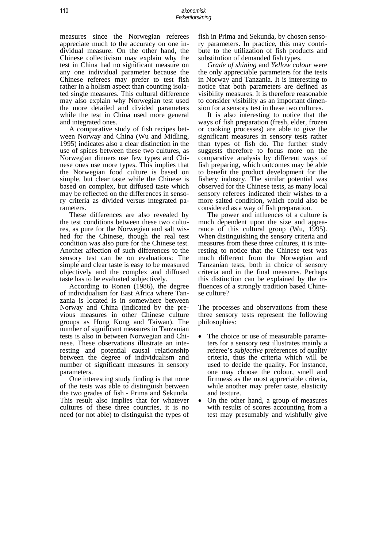measures since the Norwegian referees appreciate much to the accuracy on one individual measure. On the other hand, the Chinese collectivism may explain why the test in China had no significant measure on any one individual parameter because the Chinese referees may prefer to test fish rather in a holism aspect than counting isolated single measures. This cultural difference may also explain why Norwegian test used the more detailed and divided parameters while the test in China used more general and integrated ones.

 A comparative study of fish recipes between Norway and China (Wu and Midling, 1995) indicates also a clear distinction in the use of spices between these two cultures, as Norwegian dinners use few types and Chinese ones use more types. This implies that the Norwegian food culture is based on simple, but clear taste while the Chinese is based on complex, but diffused taste which may be reflected on the differences in sensory criteria as divided versus integrated parameters.

 These differences are also revealed by the test conditions between these two cultures, as pure for the Norwegian and salt wished for the Chinese, though the real test condition was also pure for the Chinese test. Another affection of such differences to the sensory test can be on evaluations: The simple and clear taste is easy to be measured objectively and the complex and diffused taste has to be evaluated subjectively.

 According to Ronen (1986), the degree of individualism for East Africa where Tanzania is located is in somewhere between Norway and China (indicated by the previous measures in other Chinese culture groups as Hong Kong and Taiwan). The number of significant measures in Tanzanian tests is also in between Norwegian and Chinese. These observations illustrate an interesting and potential causal relationship between the degree of individualism and number of significant measures in sensory parameters.

 One interesting study finding is that none of the tests was able to distinguish between the two grades of fish - Prima and Sekunda. This result also implies that for whatever cultures of these three countries, it is no need (or not able) to distinguish the types of fish in Prima and Sekunda, by chosen sensory parameters. In practice, this may contribute to the utilization of fish products and substitution of demanded fish types.

 *Grade of shining* and *Yellow colour* were the only appreciable parameters for the tests in Norway and Tanzania. It is interesting to notice that both parameters are defined as visibility measures. It is therefore reasonable to consider visibility as an important dimension for a sensory test in these two cultures.

 It is also interesting to notice that the ways of fish preparation (fresh, elder, frozen or cooking processes) are able to give the significant measures in sensory tests rather than types of fish do. The further study suggests therefore to focus more on the comparative analysis by different ways of fish preparing, which outcomes may be able to benefit the product development for the fishery industry. The similar potential was observed for the Chinese tests, as many local sensory referees indicated their wishes to a more salted condition, which could also be considered as a way of fish preparation.

 The power and influences of a culture is much dependent upon the size and appearance of this cultural group (Wu, 1995). When distinguishing the sensory criteria and measures from these three cultures, it is interesting to notice that the Chinese test was much different from the Norwegian and Tanzanian tests, both in choice of sensory criteria and in the final measures. Perhaps this distinction can be explained by the influences of a strongly tradition based Chinese culture?

The processes and observations from these three sensory tests represent the following philosophies:

- The choice or use of measurable parameters for a sensory test illustrates mainly a referee's *subjective* preferences of quality criteria, thus the criteria which will be used to decide the quality. For instance, one may choose the colour, smell and firmness as the most appreciable criteria, while another may prefer taste, elasticity
- and texture.<br>On the other hand, a group of measures with results of scores accounting from a test may presumably and wishfully give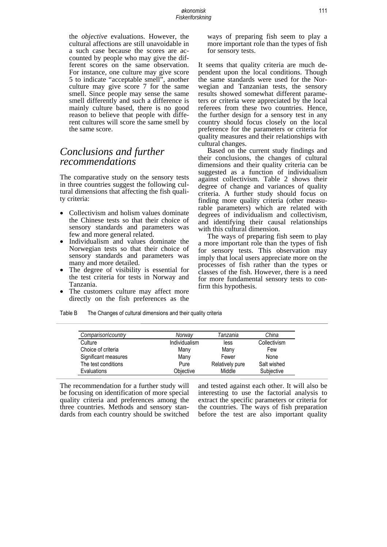the *objective* evaluations. However, the cultural affections are still unavoidable in a such case because the scores are accounted by people who may give the different scores on the same observation. For instance, one culture may give score 5 to indicate "acceptable smell", another culture may give score 7 for the same smell. Since people may sense the same smell differently and such a difference is mainly culture based, there is no good reason to believe that people with different cultures will score the same smell by the same score.

### *Conclusions and further recommendations*

The comparative study on the sensory tests in three countries suggest the following cultural dimensions that affecting the fish quality criteria:

- Collectivism and holism values dominate the Chinese tests so that their choice of sensory standards and parameters was few and more general related.
- Individualism and values dominate the Norwegian tests so that their choice of sensory standards and parameters was many and more detailed.
- The degree of visibility is essential for the test criteria for tests in Norway and Tanzania.
- The customers culture may affect more directly on the fish preferences as the

ways of preparing fish seem to play a more important role than the types of fish for sensory tests.

It seems that quality criteria are much dependent upon the local conditions. Though the same standards were used for the Norwegian and Tanzanian tests, the sensory results showed somewhat different parame- ters or criteria were appreciated by the local referees from these two countries. Hence, the further design for a sensory test in any country should focus closely on the local preference for the parameters or criteria for quality measures and their relationships with cultural changes.

Based on the current study findings and their conclusions, the changes of cultural dimensions and their quality criteria can be suggested as a function of individualism against collectivism. Table 2 shows their degree of change and variances of quality criteria. A further study should focus on finding more quality criteria (other measurable parameters) which are related with degrees of individualism and collectivism, and identifying their causal relationships with this cultural dimension.

The ways of preparing fish seem to play a more important role than the types of fish for sensory tests. This observation may imply that local users appreciate more on the processes of fish rather than the types or classes of the fish. However, there is a need for more fundamental sensory tests to confirm this hypothesis.

Table B The Changes of cultural dimensions and their quality criteria

| Comparison country   | Norway        | Tanzania        | China        |
|----------------------|---------------|-----------------|--------------|
| Culture              | Individualism | less            | Collectivism |
| Choice of criteria   | Many          | Many            | Few          |
| Significant measures | Many          | Fewer           | None         |
| The test conditions  | Pure          | Relatively pure | Salt wished  |
| Evaluations          | Objective     | Middle          | Subjective   |

The recommendation for a further study will be focusing on identification of more special quality criteria and preferences among the three countries. Methods and sensory standards from each country should be switched

and tested against each other. It will also be interesting to use the factorial analysis to extract the specific parameters or criteria for the countries. The ways of fish preparation before the test are also important quality